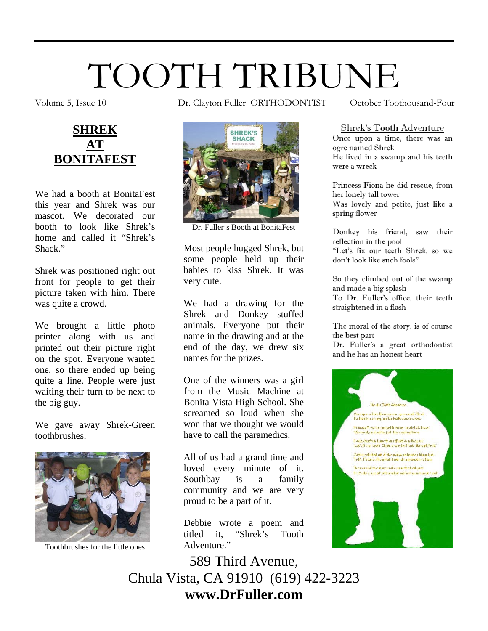# TOOTH TRIBUNE

Volume 5, Issue 10 Dr. Clayton Fuller ORTHODONTIST October Toothousand-Four



We had a booth at BonitaFest this year and Shrek was our mascot. We decorated our booth to look like Shrek's home and called it "Shrek's Shack."

Shrek was positioned right out front for people to get their picture taken with him. There was quite a crowd.

We brought a little photo printer along with us and printed out their picture right on the spot. Everyone wanted one, so there ended up being quite a line. People were just waiting their turn to be next to the big guy.

We gave away Shrek-Green toothbrushes.



Toothbrushes for the little ones



Dr. Fuller's Booth at BonitaFest

Most people hugged Shrek, but some people held up their babies to kiss Shrek. It was very cute.

We had a drawing for the Shrek and Donkey stuffed animals. Everyone put their name in the drawing and at the end of the day, we drew six names for the prizes.

One of the winners was a girl from the Music Machine at Bonita Vista High School. She screamed so loud when she won that we thought we would have to call the paramedics.

All of us had a grand time and loved every minute of it. Southbay is a family community and we are very proud to be a part of it.

Debbie wrote a poem and titled it, "Shrek's Tooth Adventure."

589 Third Avenue, Chula Vista, CA 91910 (619) 422-3223 **www.DrFuller.com** 

#### Shrek's Tooth Adventure

Once upon a time, there was an ogre named Shrek He lived in a swamp and his teeth were a wreck

Princess Fiona he did rescue, from her lonely tall tower Was lovely and petite, just like a spring flower

Donkey his friend, saw their reflection in the pool "Let's fix our teeth Shrek, so we don't look like such fools"

So they climbed out of the swamp and made a big splash To Dr. Fuller's office, their teeth straightened in a flash

The moral of the story, is of course the best part

Dr. Fuller's a great orthodontist and he has an honest heart